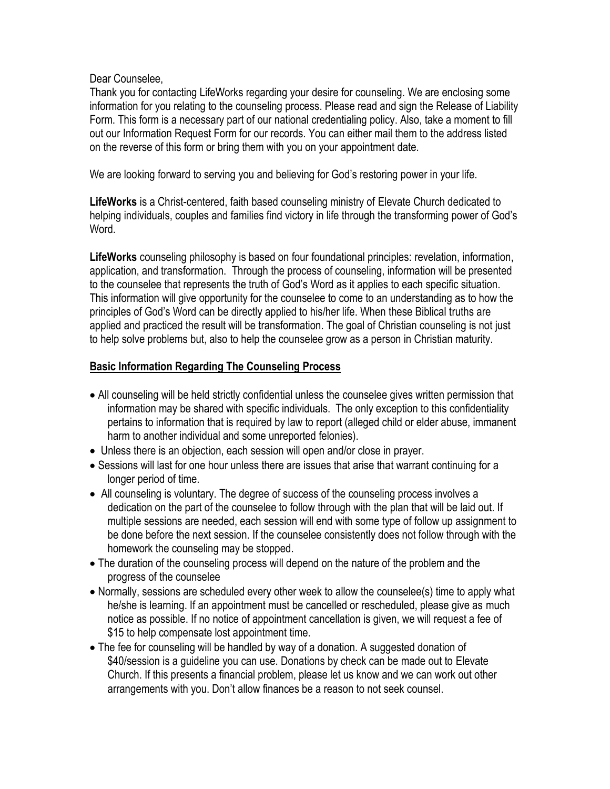## Dear Counselee,

Thank you for contacting LifeWorks regarding your desire for counseling. We are enclosing some information for you relating to the counseling process. Please read and sign the Release of Liability Form. This form is a necessary part of our national credentialing policy. Also, take a moment to fill out our Information Request Form for our records. You can either mail them to the address listed on the reverse of this form or bring them with you on your appointment date.

We are looking forward to serving you and believing for God's restoring power in your life.

**LifeWorks** is a Christ-centered, faith based counseling ministry of Elevate Church dedicated to helping individuals, couples and families find victory in life through the transforming power of God's Word.

**LifeWorks** counseling philosophy is based on four foundational principles: revelation, information, application, and transformation. Through the process of counseling, information will be presented to the counselee that represents the truth of God's Word as it applies to each specific situation. This information will give opportunity for the counselee to come to an understanding as to how the principles of God's Word can be directly applied to his/her life. When these Biblical truths are applied and practiced the result will be transformation. The goal of Christian counseling is not just to help solve problems but, also to help the counselee grow as a person in Christian maturity.

## **Basic Information Regarding The Counseling Process**

- All counseling will be held strictly confidential unless the counselee gives written permission that information may be shared with specific individuals. The only exception to this confidentiality pertains to information that is required by law to report (alleged child or elder abuse, immanent harm to another individual and some unreported felonies).
- Unless there is an objection, each session will open and/or close in prayer.
- Sessions will last for one hour unless there are issues that arise that warrant continuing for a longer period of time.
- All counseling is voluntary. The degree of success of the counseling process involves a dedication on the part of the counselee to follow through with the plan that will be laid out. If multiple sessions are needed, each session will end with some type of follow up assignment to be done before the next session. If the counselee consistently does not follow through with the homework the counseling may be stopped.
- The duration of the counseling process will depend on the nature of the problem and the progress of the counselee
- Normally, sessions are scheduled every other week to allow the counselee(s) time to apply what he/she is learning. If an appointment must be cancelled or rescheduled, please give as much notice as possible. If no notice of appointment cancellation is given, we will request a fee of \$15 to help compensate lost appointment time.
- The fee for counseling will be handled by way of a donation. A suggested donation of \$40/session is a guideline you can use. Donations by check can be made out to Elevate Church. If this presents a financial problem, please let us know and we can work out other arrangements with you. Don't allow finances be a reason to not seek counsel.